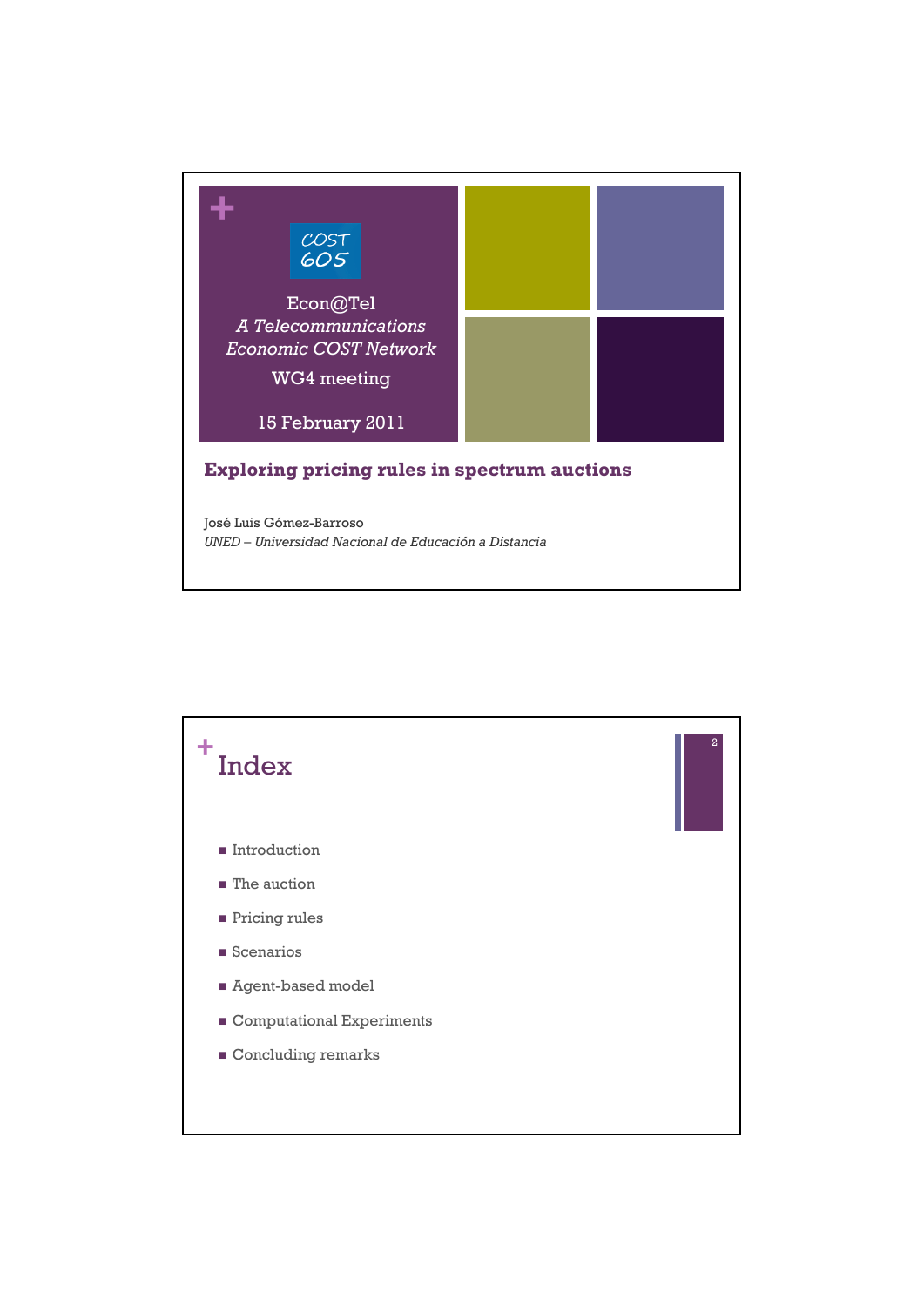

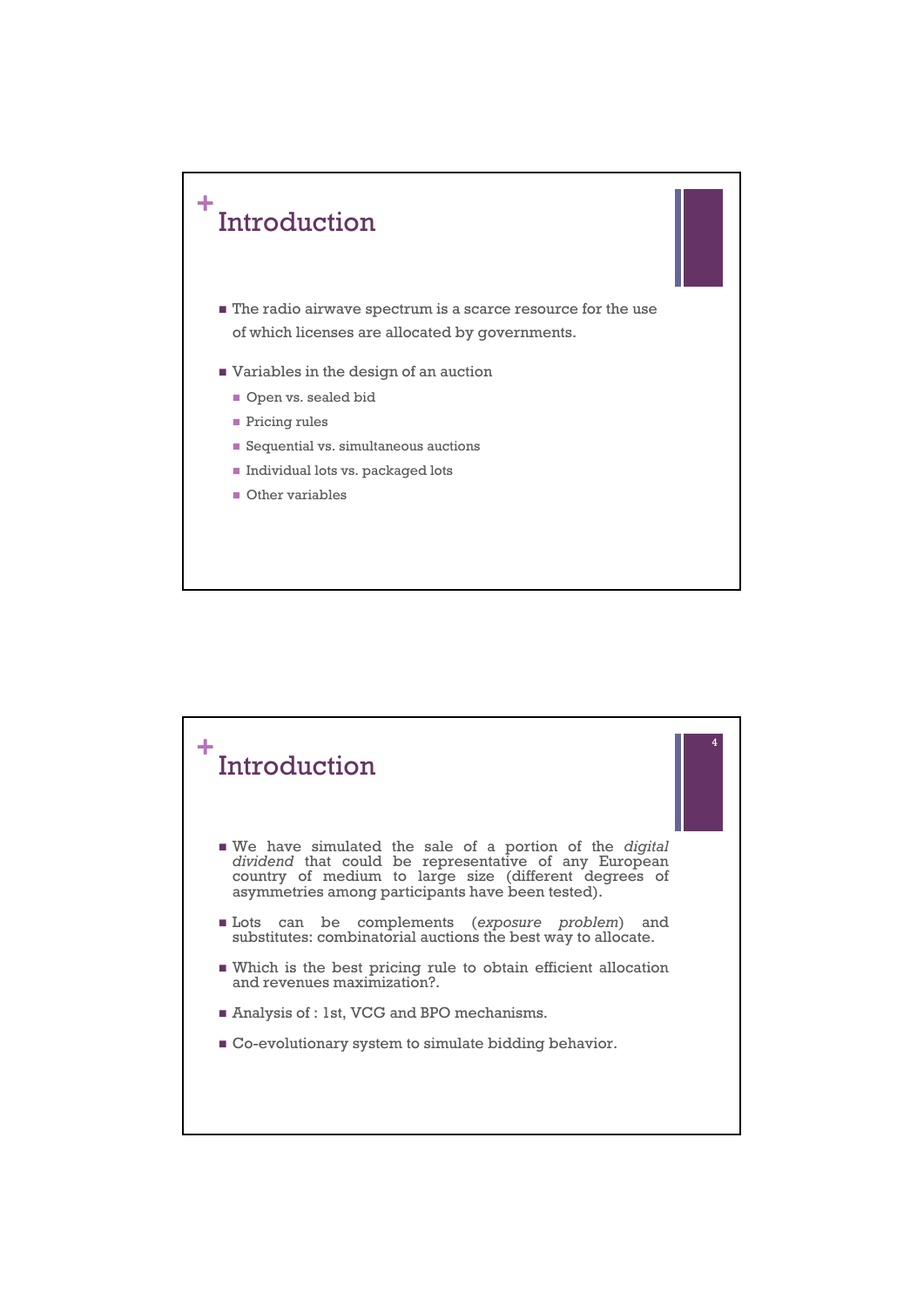

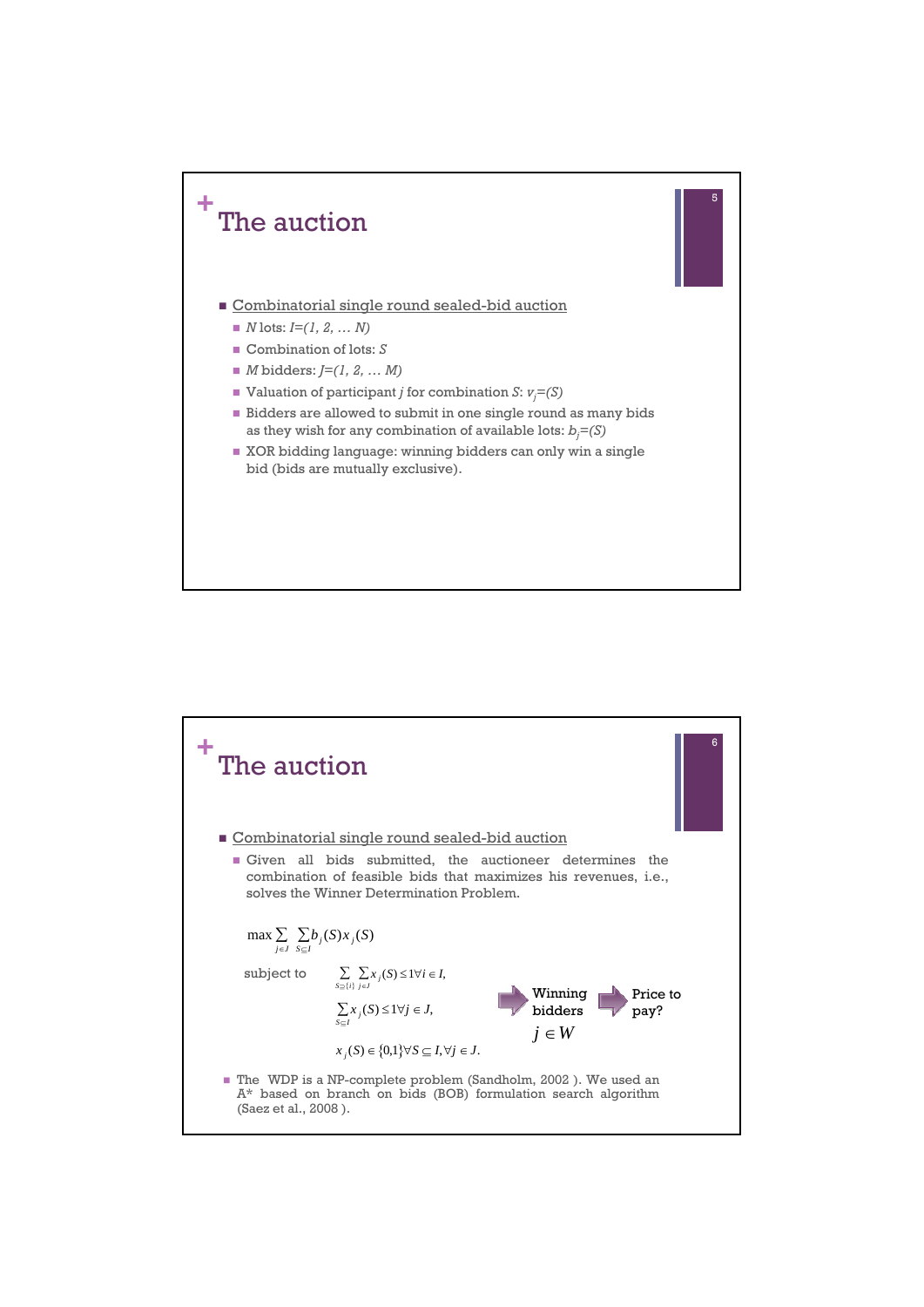

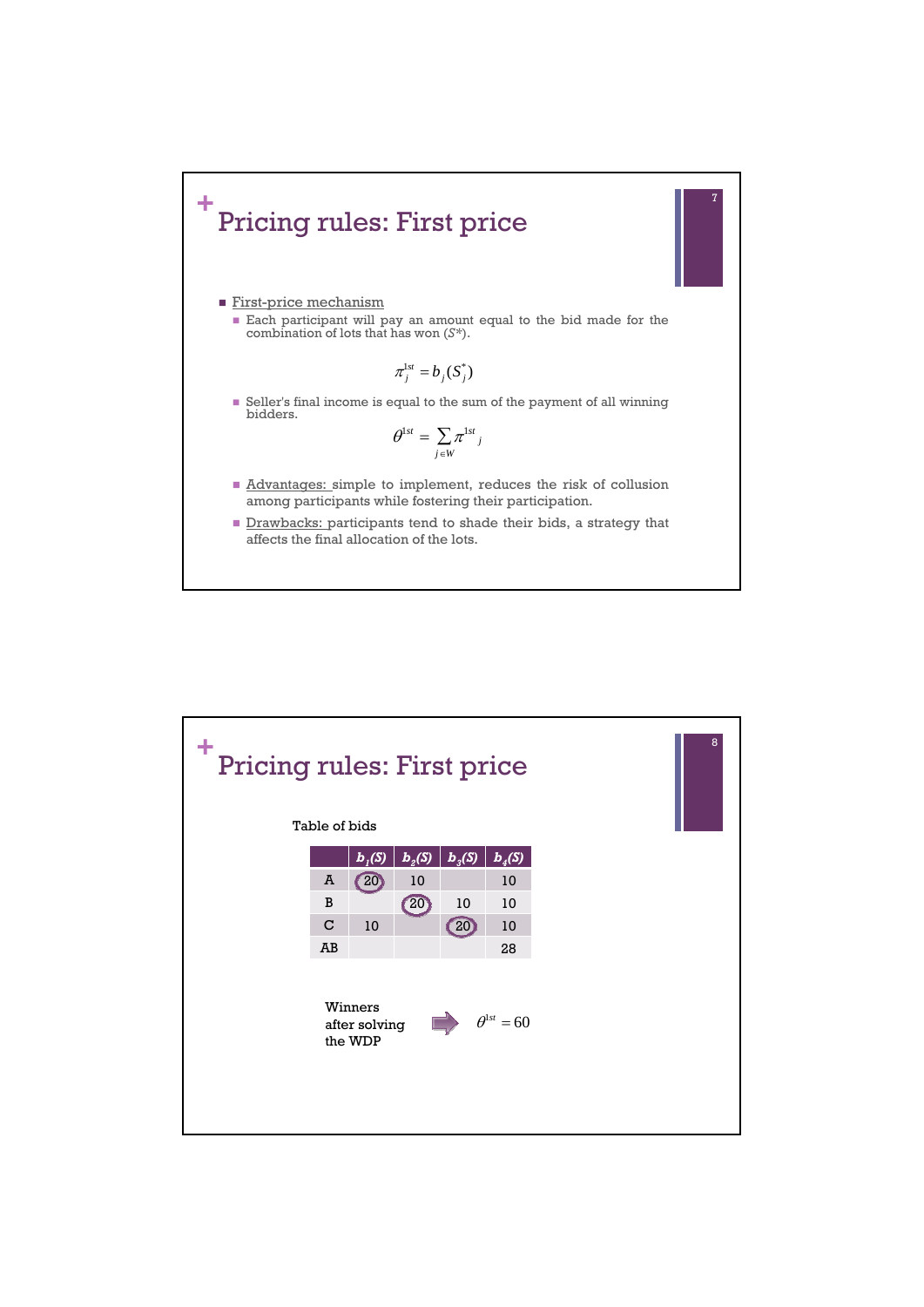

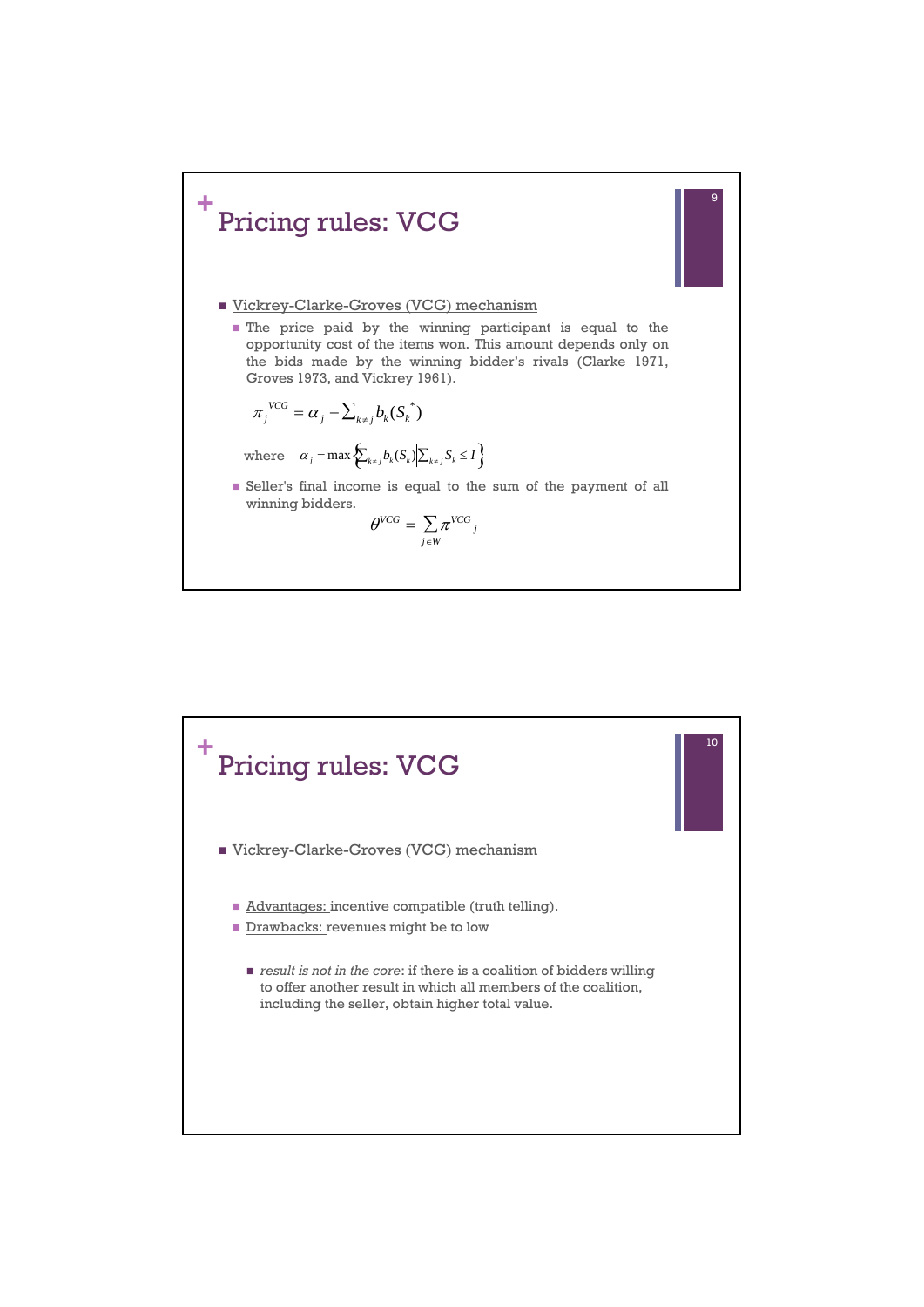

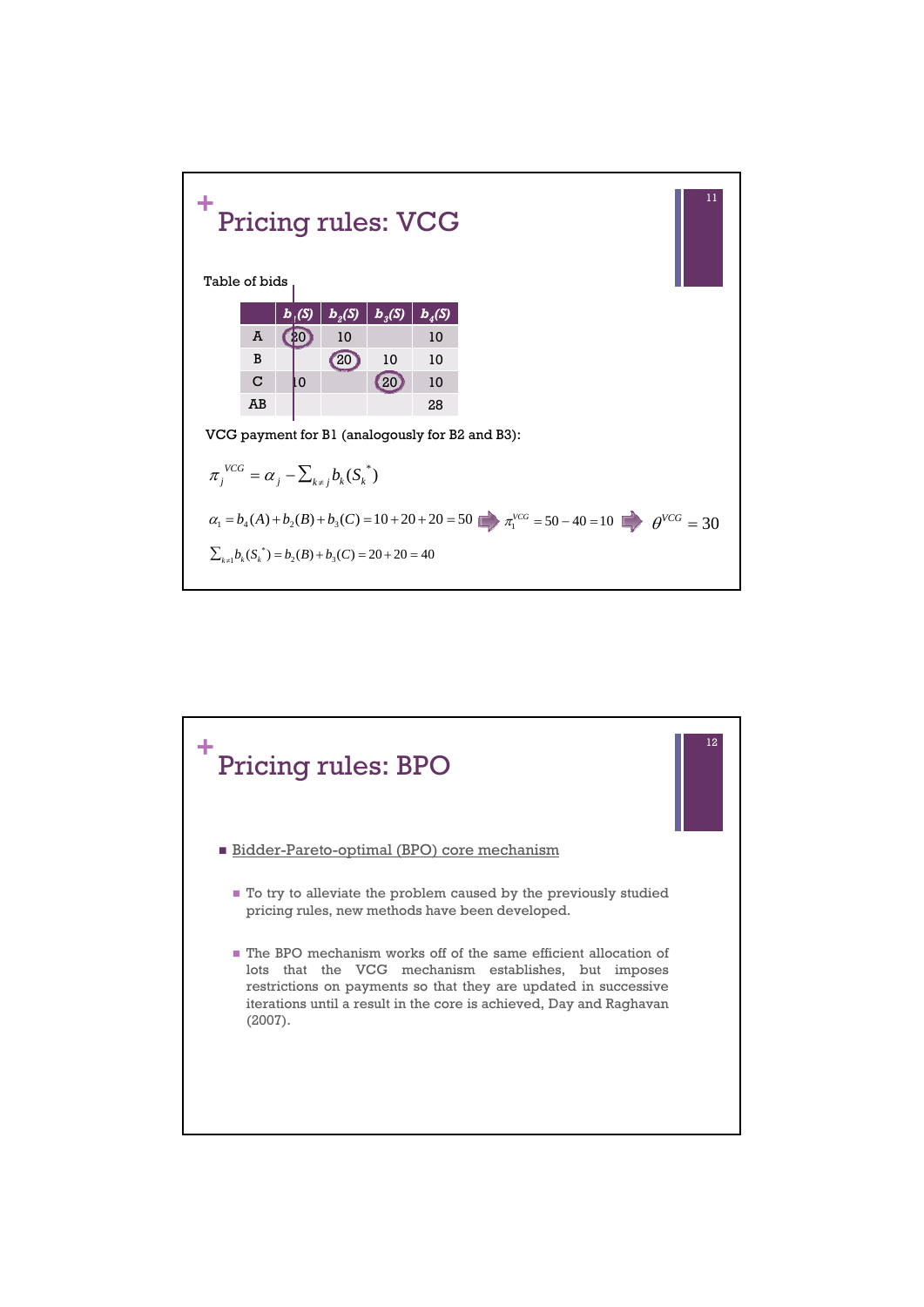

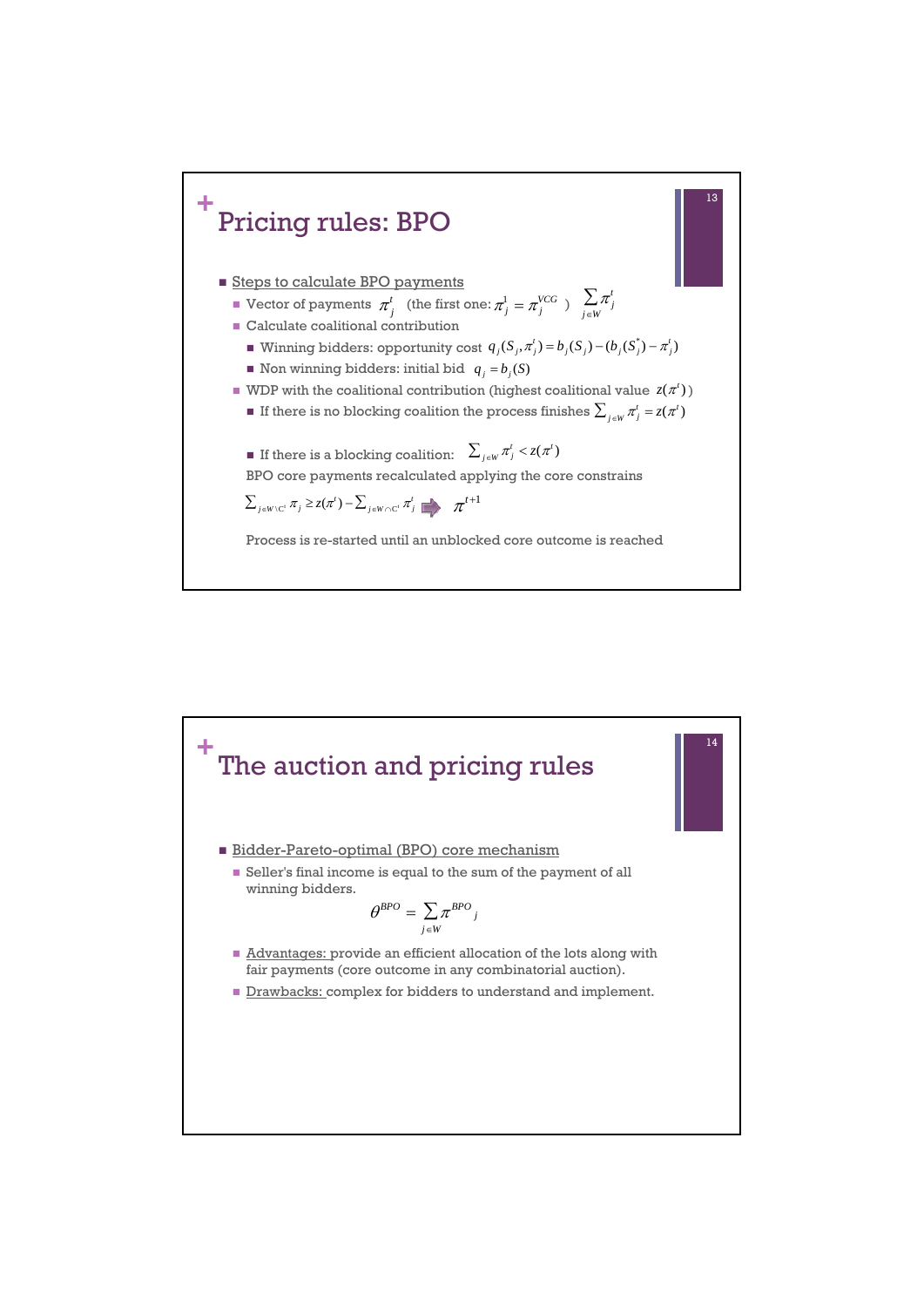

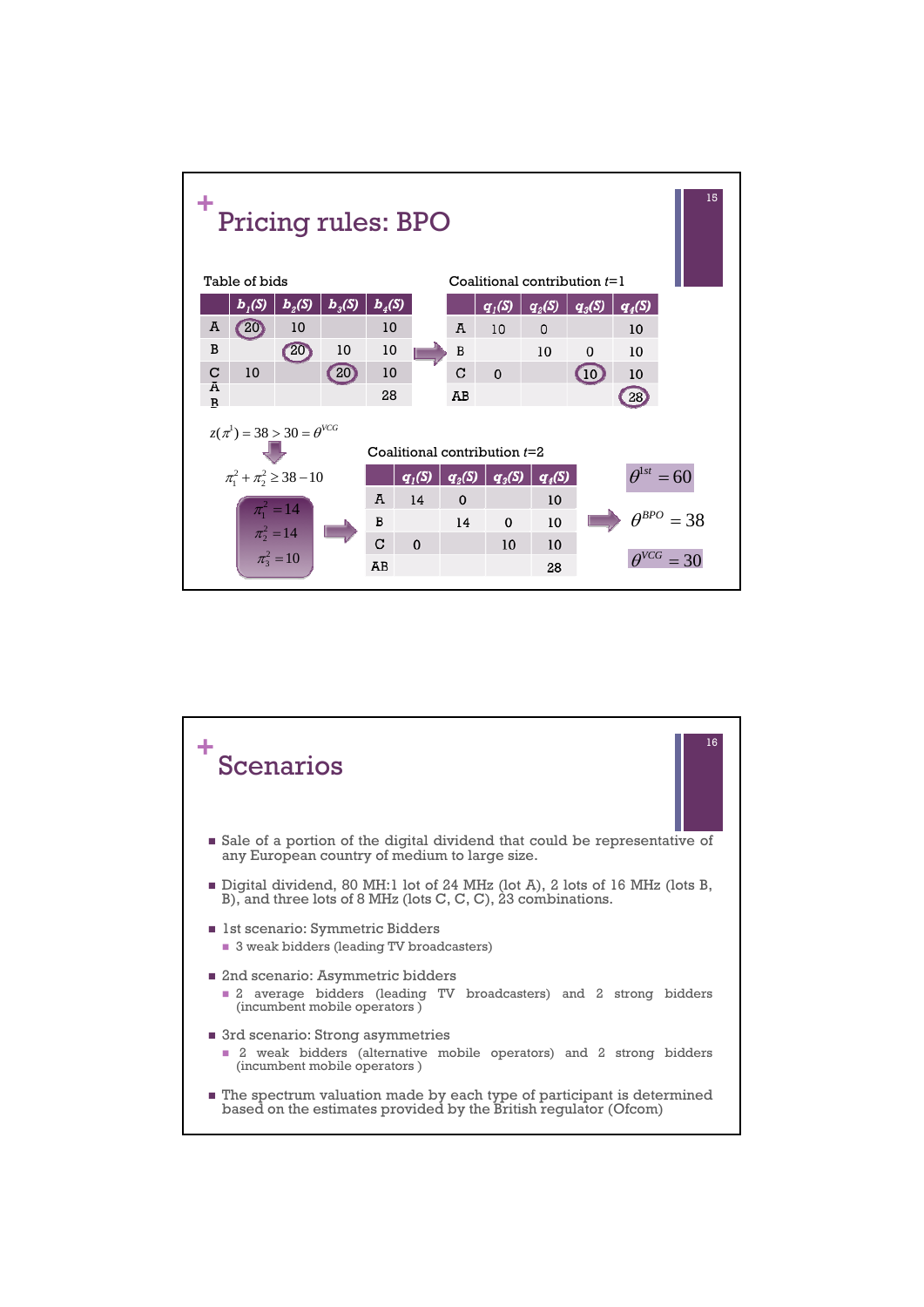

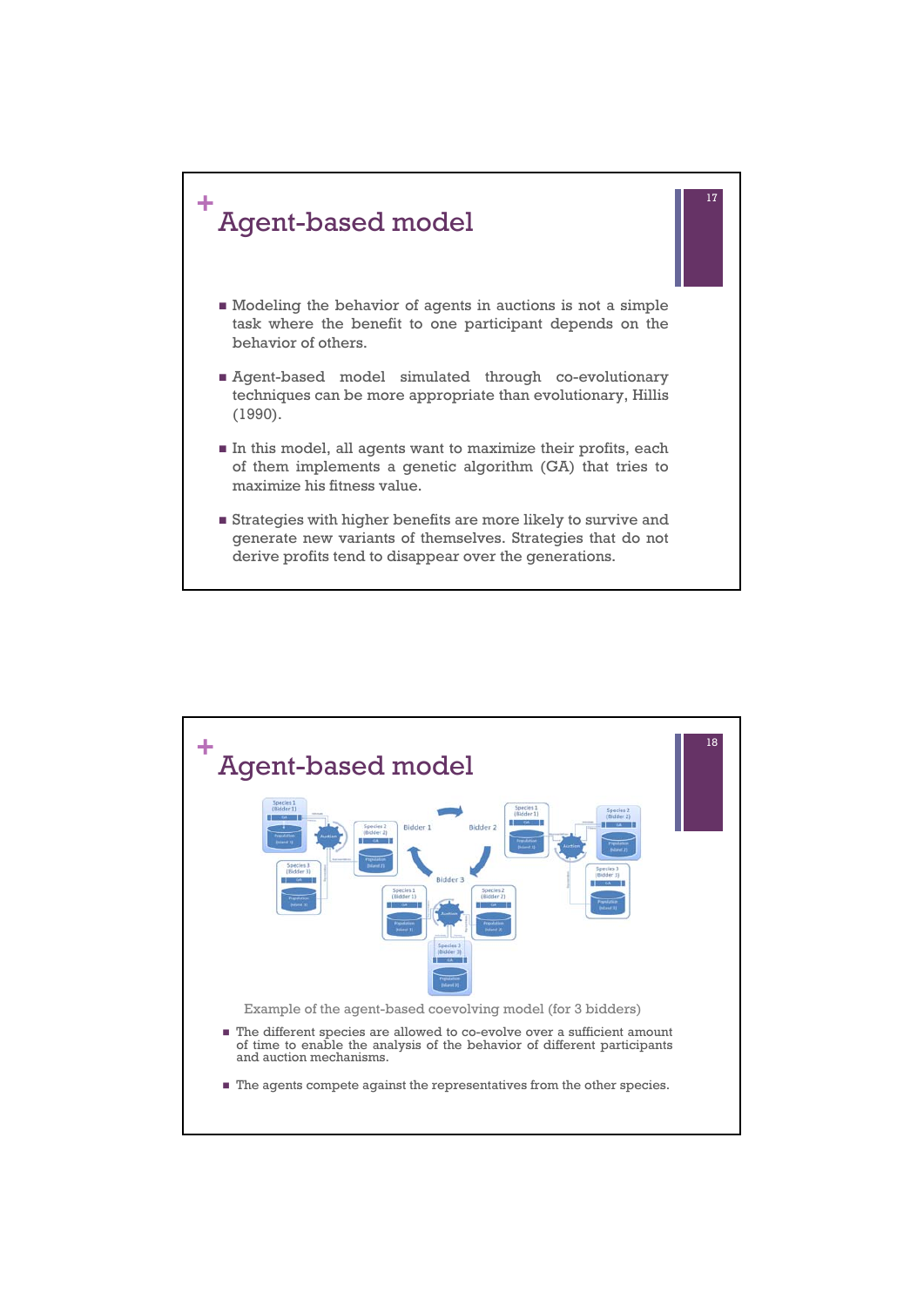

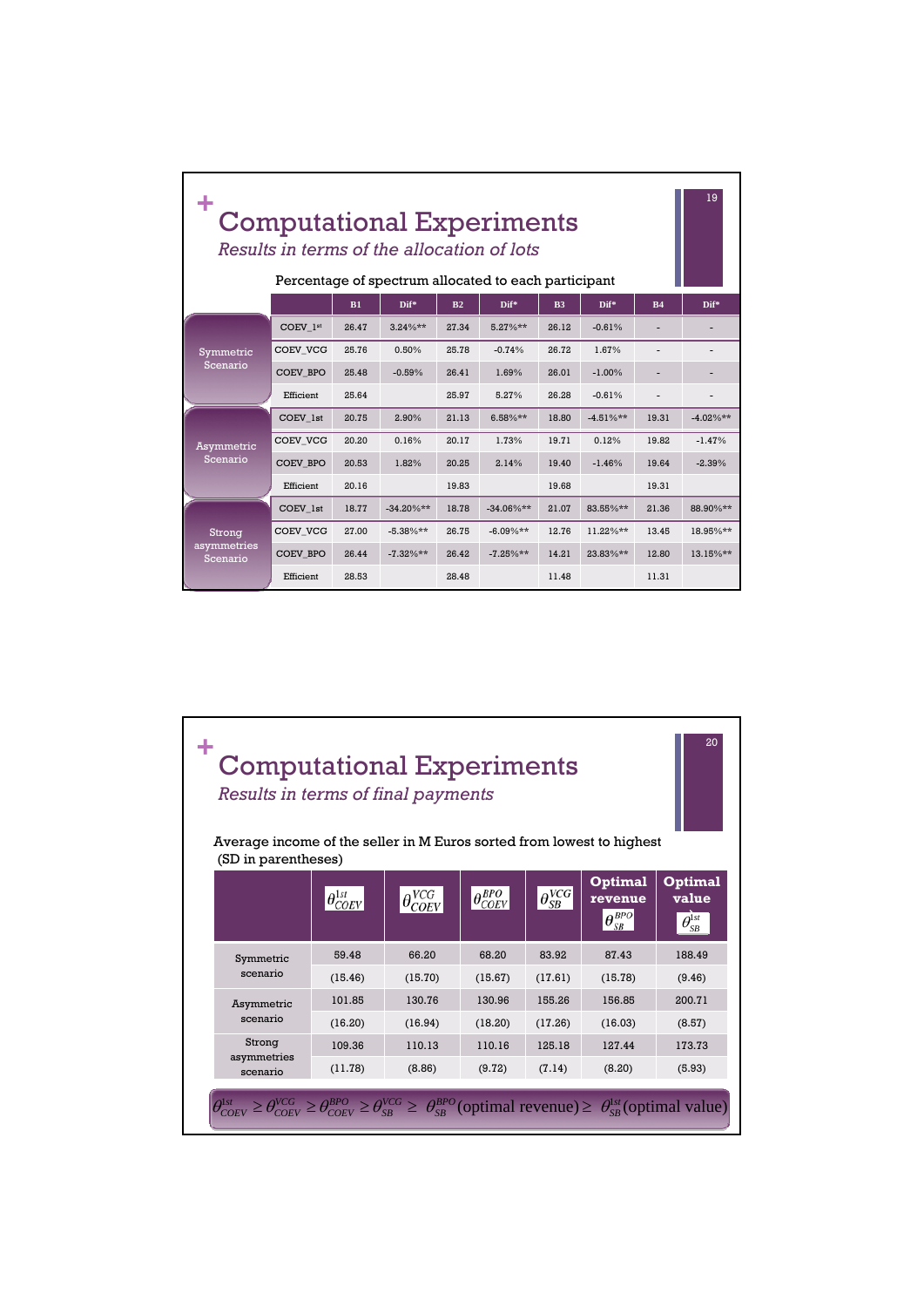|                         |                 | 19<br><b>Computational Experiments</b><br>Results in terms of the allocation of lots<br>Percentage of spectrum allocated to each participant |              |                                           |              |                |             |           |             |
|-------------------------|-----------------|----------------------------------------------------------------------------------------------------------------------------------------------|--------------|-------------------------------------------|--------------|----------------|-------------|-----------|-------------|
|                         |                 | B1                                                                                                                                           | Dif*         | B <sub>2</sub>                            | Dif*         | B <sub>3</sub> | Dif*        | <b>B4</b> | Dif*        |
|                         | COEV 1st        | 26.47                                                                                                                                        | $3.24\%**$   | 27.34                                     | $5.27\%**$   | 26.12          | $-0.61%$    |           |             |
| Symmetric               | COEV VCG        | 25.76                                                                                                                                        | 0.50%        | 25.78                                     | $-0.74%$     | 26.72          | 1.67%       |           |             |
| Scenario                | COEV BPO        | 25.48                                                                                                                                        | $-0.59%$     | 26.41                                     | 1.69%        | 26.01          | $-1.00%$    |           |             |
|                         | Efficient       | 25.64                                                                                                                                        |              | 25.97                                     | 5.27%        | 26.28          | $-0.61%$    |           |             |
|                         | COEV 1st        | 20.75                                                                                                                                        | 2.90%        | 21.13                                     | $6.58%**$    | 18.80          | $-4.51%$ ** | 19.31     | $-4.02\%**$ |
| Asymmetric              | COEV VCG        | 20.20                                                                                                                                        | 0.16%        | 20.17<br>1.73%<br>19.71<br>0.12%<br>19.82 | $-1.47%$     |                |             |           |             |
| Scenario                | <b>COEV BPO</b> | 20.53                                                                                                                                        | 1.82%        | 20.25                                     | 2.14%        | 19.40          | $-1.46%$    | 19.64     | $-2.39%$    |
|                         | Efficient       | 20.16<br>19.83<br>19.68                                                                                                                      | 19.31        |                                           |              |                |             |           |             |
|                         | COEV 1st        | 18.77                                                                                                                                        | $-34.20\%**$ | 18.78                                     | $-34.06\%**$ | 21.07          | 83.55%**    | 21.36     | 88.90%**    |
| Strong                  | COEV VCG        | 27.00                                                                                                                                        | $-5.38%**$   | 26.75                                     | $-6.09\%**$  | 12.76          | $11.22\%**$ | 13.45     | 18.95%**    |
| asymmetries<br>Scenario | <b>COEV BPO</b> | 26.44                                                                                                                                        | $-7.32\%**$  | 26.42                                     | $-7.25%**$   | 14.21          | $23.83\%**$ | 12.80     | 13.15%**    |
|                         | Efficient       | 28.53                                                                                                                                        |              | 28.48                                     |              | 11.48          |             | 11.31     |             |

| <b>Computational Experiments</b><br>Results in terms of final payments<br>Average income of the seller in M Euros sorted from lowest to highest |                         |                       |                       |                     |                                                                                        | 20                                                                                   |
|-------------------------------------------------------------------------------------------------------------------------------------------------|-------------------------|-----------------------|-----------------------|---------------------|----------------------------------------------------------------------------------------|--------------------------------------------------------------------------------------|
| (SD in parentheses)                                                                                                                             | $ \theta_{COEV}^{1st} $ | $\theta^{VCG}_{COEV}$ | $\theta_{COEV}^{BPO}$ | $\theta_{SB}^{VCG}$ | <b>Optimal</b><br>revenue<br>$\theta_{\scriptscriptstyle SB}^{\scriptscriptstyle BPO}$ | <b>Optimal</b><br>value<br>$\theta_{\scriptscriptstyle SB}^{\scriptscriptstyle 1st}$ |
| Symmetric                                                                                                                                       | 59.48                   | 66.20                 | 68.20                 | 83.92               | 87.43                                                                                  | 188.49                                                                               |
| scenario                                                                                                                                        | (15.46)                 | (15.70)               | (15.67)               | (17.61)             | (15.78)                                                                                | (9.46)                                                                               |
| Asymmetric                                                                                                                                      | 101.85                  | 130.76                | 130.96                | 155.26              | 156.85                                                                                 | 200.71                                                                               |
| scenario                                                                                                                                        | (16.20)                 | (16.94)               | (18.20)               | (17.26)             | (16.03)                                                                                | (8.57)                                                                               |
| Strong                                                                                                                                          | 109.36                  | 110.13                | 110.16                | 125.18              | 127.44                                                                                 | 173.73                                                                               |
| asymmetries<br>scenario                                                                                                                         | (11.78)                 | (8.86)                | (9.72)                | (7.14)              | (8.20)                                                                                 | (5.93)                                                                               |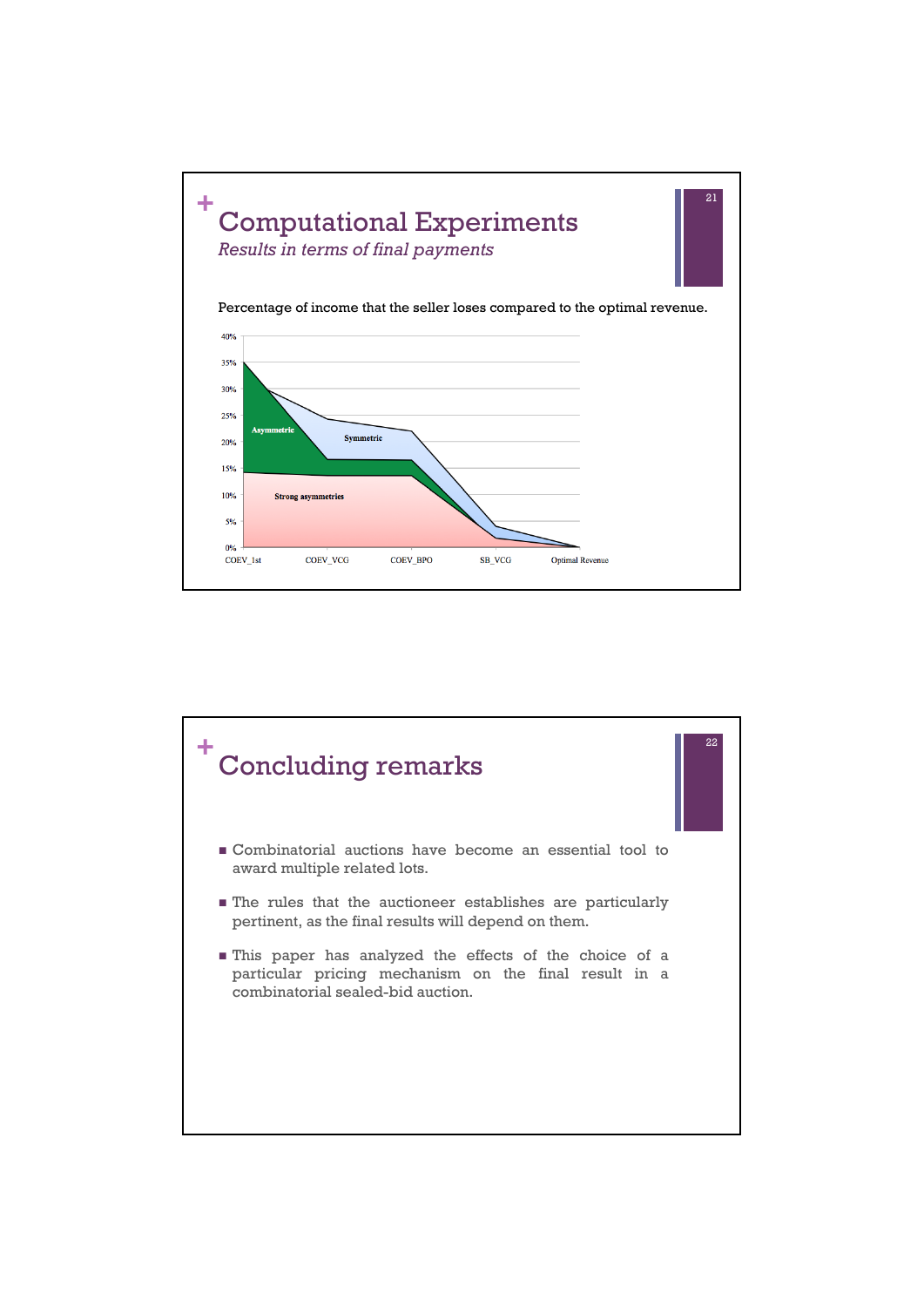

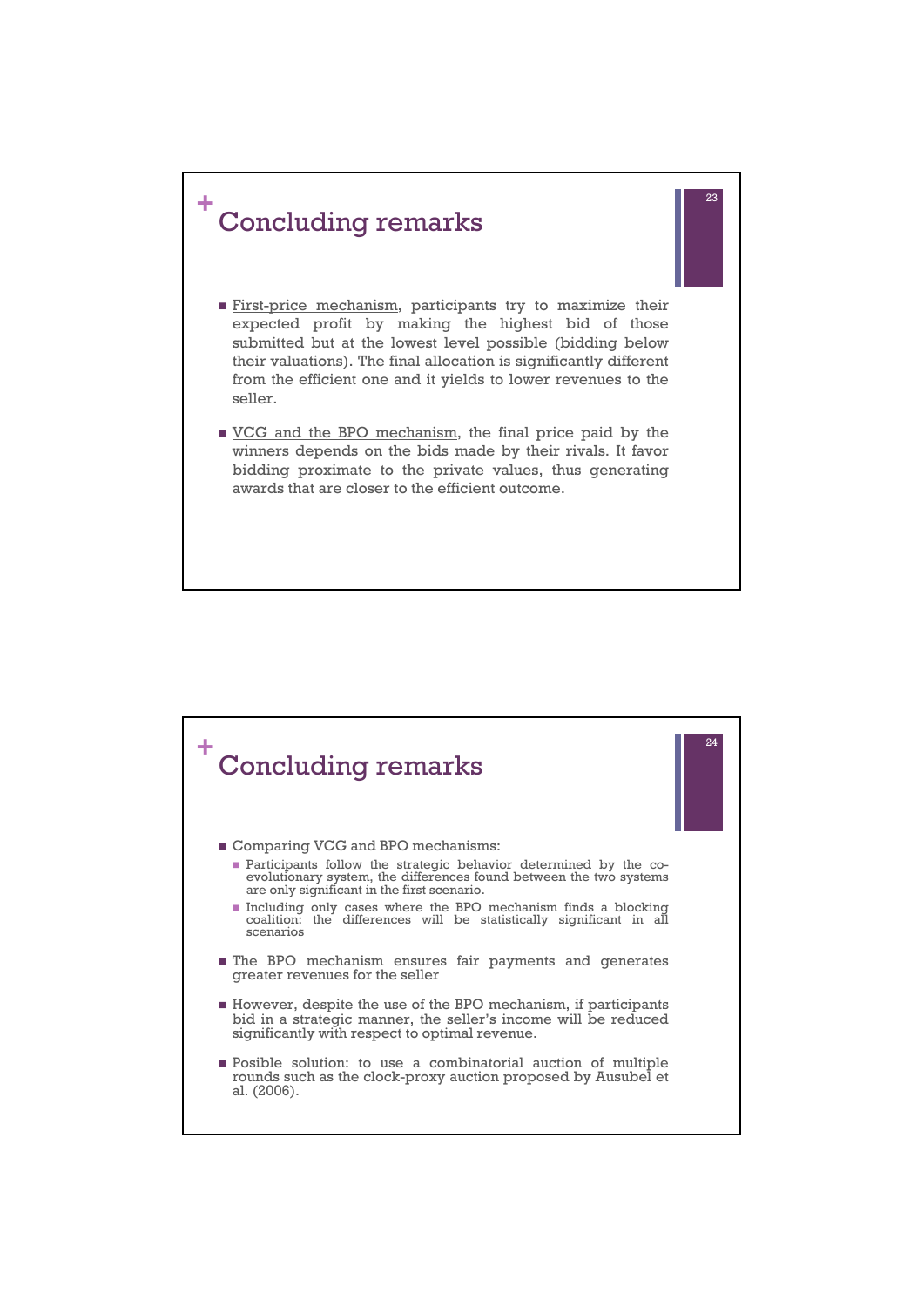

First-price mechanism, participants try to maximize their expected profit by making the highest bid of those submitted but at the lowest level possible (bidding below their valuations). The final allocation is significantly different from the efficient one and it yields to lower revenues to the seller.

23

**VCG** and the BPO mechanism, the final price paid by the winners depends on the bids made by their rivals. It favor bidding proximate to the private values, thus generating awards that are closer to the efficient outcome.